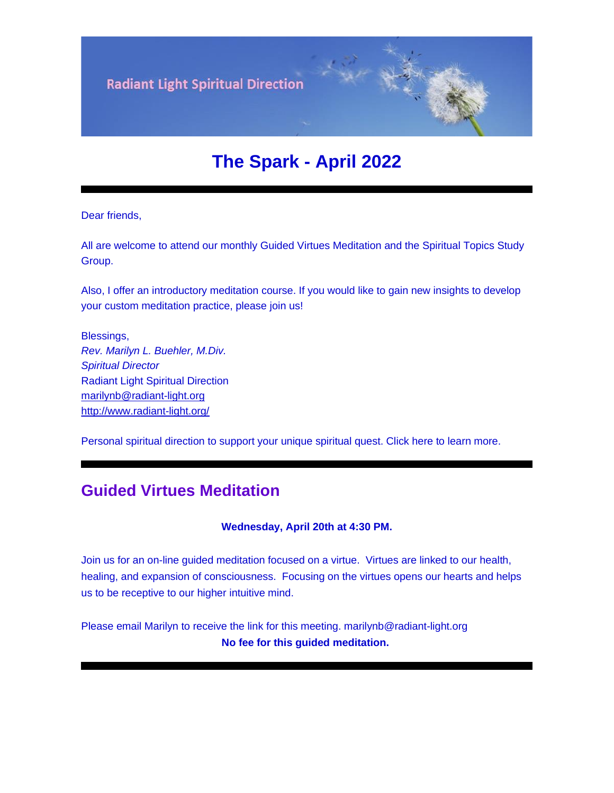

# **The Spark - April 2022**

Dear friends,

All are welcome to attend our monthly Guided Virtues Meditation and the Spiritual Topics Study Group.

Also, I offer an introductory meditation course. If you would like to gain new insights to develop your custom meditation practice, please join us!

Blessings, *Rev. Marilyn L. Buehler, M.Div. Spiritual Director* Radiant Light Spiritual Direction [marilynb@radiant-light.org](mailto:marilynb@radiant-light.org) [http://www.radiant-light.org/](https://u18544456.ct.sendgrid.net/ls/click?upn=R-2Bl7NGDLiuME3v4KUDXT9h2qnOPi-2Bv0NUDPOAvqgwbSGaV-2BAb3Xm4aVOKtH6HhU9m-2FTXOQwSXWi82XNXQXmW0Ybjzw6tS-2BT4DLdUHTzXugFWK15x1FY1bK6oAs60zDHaRWft_FiQrYGg1YZElR924caalGEP3AHGeF79ulf5jxC9Fbcd8IfoR4p2-2FW0xZvJaX6Y3z75H0Yw3uGmHJTH3azVPJ5HXoQqlNvxrtacG06ak4RKGFnIbMJp89F38QqPdppoeaU6nUBFJoLohSyo3yevvMWwsA6I8INVlPBqYcJq7yJL4aCm-2Blrq6G1ouW1UuS5M7KY2-2BjQ3DzajucVnQRLXD8dPKdJwWUK8FeLx0F9JZYijGUvlUgF-2FB7POvBPZR-2B-2B96ML-2FYU7NymSWYIZUdqb9Z3zw-3D-3D)

Personal spiritual direction to support your unique spiritual quest. Click here to learn more.

### **Guided Virtues Meditation**

#### **Wednesday, April 20th at 4:30 PM.**

Join us for an on-line guided meditation focused on a virtue. Virtues are linked to our health, healing, and expansion of consciousness. Focusing on the virtues opens our hearts and helps us to be receptive to our higher intuitive mind.

Please email Marilyn to receive the link for this meeting. marilynb@radiant-light.org **No fee for this guided meditation.**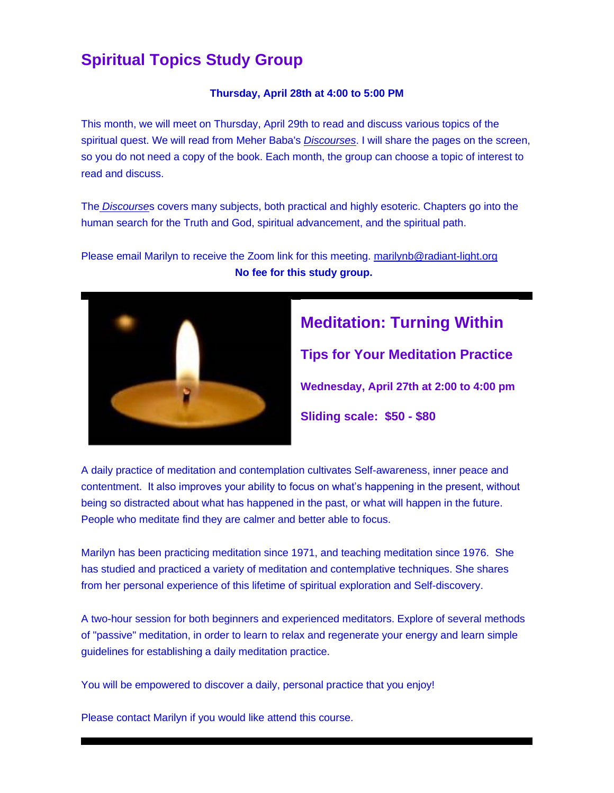## **Spiritual Topics Study Group**

#### **Thursday, April 28th at 4:00 to 5:00 PM**

This month, we will meet on Thursday, April 29th to read and discuss various topics of the spiritual quest. We will read from Meher Baba's *[Discourses](https://u18544456.ct.sendgrid.net/ls/click?upn=R-2Bl7NGDLiuME3v4KUDXT9tVzm1-2BNI-2BS3OrYkiYlRu7C2nw-2FGuui8nyc81QLa6BAY4LH6_FiQrYGg1YZElR924caalGEP3AHGeF79ulf5jxC9Fbcd8IfoR4p2-2FW0xZvJaX6Y3z75H0Yw3uGmHJTH3azVPJ5HXoQqlNvxrtacG06ak4RKGFnIbMJp89F38QqPdppoeaw3rf7-2BRf-2F6rpsXh7uXT3pagZ1Mux-2BFpAR-2F97g82sVV1imHy6S2M23jyTzvgvgdTq9hoQlu89KzpUtHwFaptHyDbWrmPgxdpPRMeJq7AVnXuSWrnQy4O1ZU4TwuPraTwNiQAdSioFM709Mq9MUWtE0w-3D-3D)*. I will share the pages on the screen, so you do not need a copy of the book. Each month, the group can choose a topic of interest to read and discuss.

The *[Discourse](https://u18544456.ct.sendgrid.net/ls/click?upn=R-2Bl7NGDLiuME3v4KUDXT9tVzm1-2BNI-2BS3OrYkiYlRu7C2nw-2FGuui8nyc81QLa6BAYlAlv_FiQrYGg1YZElR924caalGEP3AHGeF79ulf5jxC9Fbcd8IfoR4p2-2FW0xZvJaX6Y3z75H0Yw3uGmHJTH3azVPJ5HXoQqlNvxrtacG06ak4RKGFnIbMJp89F38QqPdppoead2zfPh9ZFyi3OBb00pXVgknYaAN73Sc2m7h6-2BI43V3Q88dzOulrYwDS8gXy-2FBxqXDvPX0qtAJqpvzeAT4Q23SEN-2FELSE5oybWnyk-2BpRUuGd0PDhVtaPZ0J6MEPALNm3pxW-2F-2BC1LM39q2-2BPeOYZn6ew-3D-3D)*s covers many subjects, both practical and highly esoteric. Chapters go into the human search for the Truth and God, spiritual advancement, and the spiritual path.

Please email Marilyn to receive the Zoom link for this meeting. [marilynb@radiant-light.org](mailto:marilynb@radiant-light.org) **No fee for this study group.**



# **Meditation: Turning Within Tips for Your Meditation Practice**

**Wednesday, April 27th at 2:00 to 4:00 pm**

**Sliding scale: \$50 - \$80**

A daily practice of meditation and contemplation cultivates Self-awareness, inner peace and contentment. It also improves your ability to focus on what's happening in the present, without being so distracted about what has happened in the past, or what will happen in the future. People who meditate find they are calmer and better able to focus.

Marilyn has been practicing meditation since 1971, and teaching meditation since 1976. She has studied and practiced a variety of meditation and contemplative techniques. She shares from her personal experience of this lifetime of spiritual exploration and Self-discovery.

A two-hour session for both beginners and experienced meditators. Explore of several methods of "passive" meditation, in order to learn to relax and regenerate your energy and learn simple guidelines for establishing a daily meditation practice.

You will be empowered to discover a daily, personal practice that you enjoy!

Please contact Marilyn if you would like attend this course.